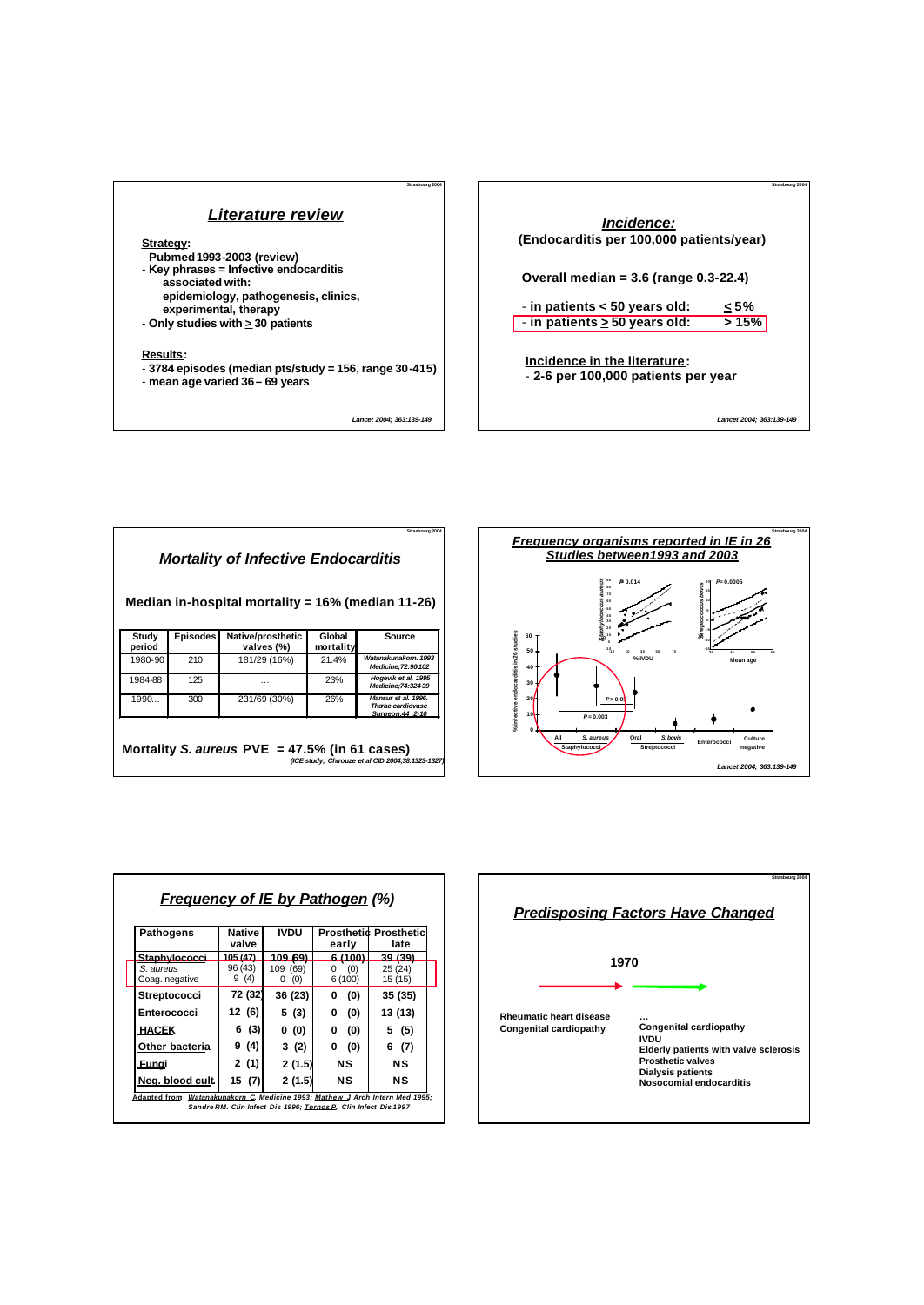

*Lancet 2004; 363:139-149*

**Strasbourg 2004**



| Strasbourg 2004<br><u>Mortality of Infective Endocarditis</u><br>Median in-hospital mortality = $16\%$ (median 11-26) |                 |                                                  |                     |                                                                     |  |
|-----------------------------------------------------------------------------------------------------------------------|-----------------|--------------------------------------------------|---------------------|---------------------------------------------------------------------|--|
| Study<br>period                                                                                                       | <b>Episodes</b> | Native/prosthetic<br>valves (%)                  | Global<br>mortality | Source                                                              |  |
| 1980-90                                                                                                               | 210             | 181/29 (16%)                                     | 21.4%               | Watanakunakorn, 1993<br>Medicine: 72:90-102                         |  |
| 1984-88                                                                                                               | 125             | .                                                | 23%                 | Hogevik et al. 1995<br>Medicine: 74: 32439                          |  |
| 1990                                                                                                                  | 300             | 231/69 (30%)                                     | 26%                 | Mansur et al. 1996.<br><b>Thorac cardiovasc</b><br>Surgeon:44 :2-10 |  |
|                                                                                                                       |                 | Mortality S. aureus PVE = $47.5\%$ (in 61 cases) |                     | (ICE study; Chirouze et al CID 2004;38:1323-1327)                   |  |



| <b>Pathogens</b>            | <b>Native</b><br>valve | <b>IVDU</b>          | early              | <b>Prosthetid Prosthetic</b><br>late |  |
|-----------------------------|------------------------|----------------------|--------------------|--------------------------------------|--|
| Stanhylococci               | 105 (47)               | 109.691              |                    | <u>39 (39)</u>                       |  |
| S. aureus<br>Coag. negative | 96 (43)<br>9(4)        | 109 (69)<br>(0)<br>0 | (0)<br>0<br>6(100) | 25(24)<br>15(15)                     |  |
| <b>Streptococci</b>         | 72 (32)                | 36 (23)              | (0)<br>0           | 35 (35)                              |  |
| Enterococci                 | 12 (6)                 | 5 (3)                | (0)<br>0           | 13 (13)                              |  |
| <b>HACEK</b>                | 6 (3)                  | 0(0)                 | (0)<br>0           | 5 (5)                                |  |
| Other bacteria              | 9 (4)                  | 3(2)                 | (0)<br>0           | 6<br>(7)                             |  |
| Funai                       | 2 (1)                  | 2(1.5)               | NS.                | NS                                   |  |
| Neg. blood cult.            | 15 (7)                 | 2(1.5)               | NS                 | NS                                   |  |

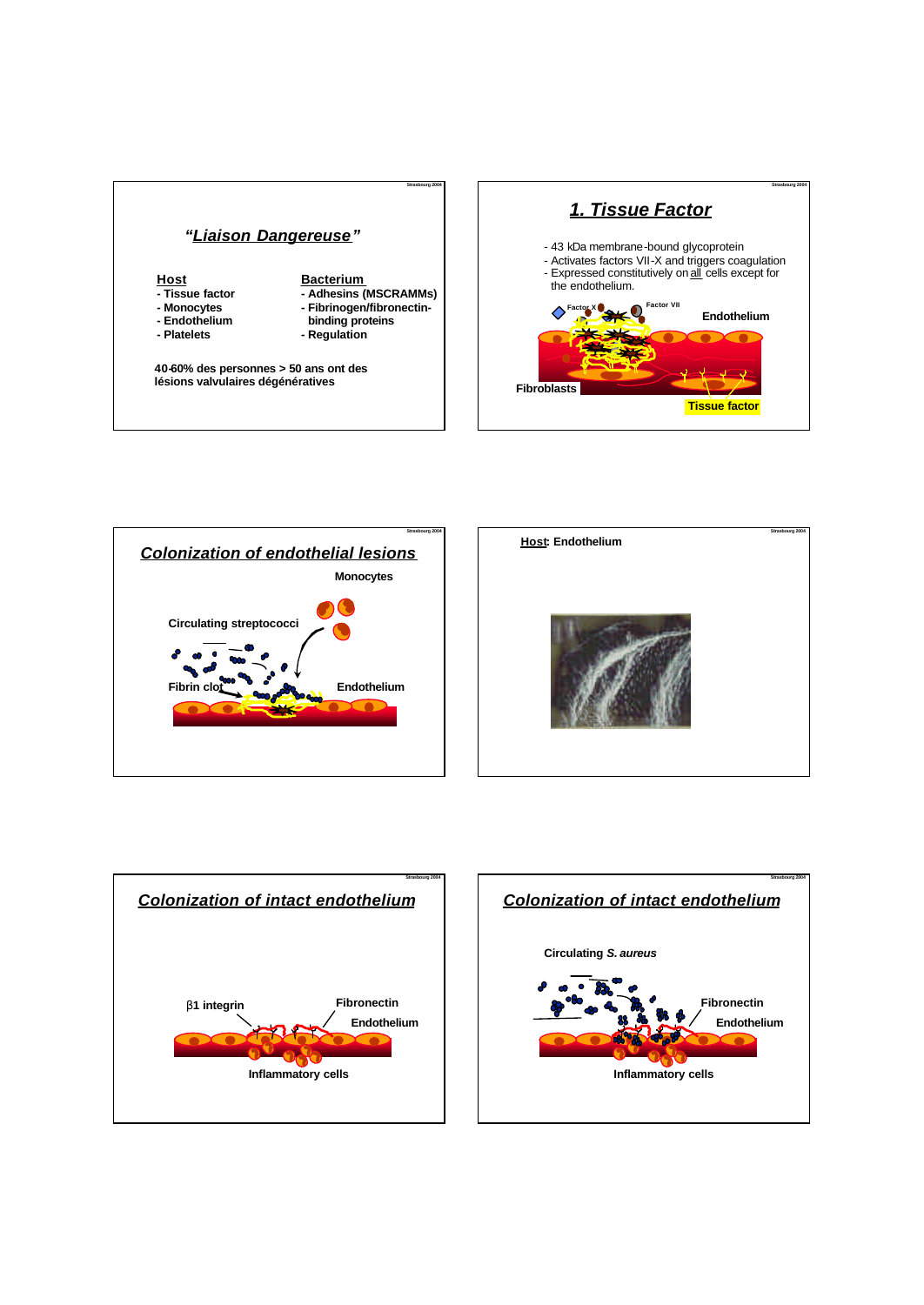









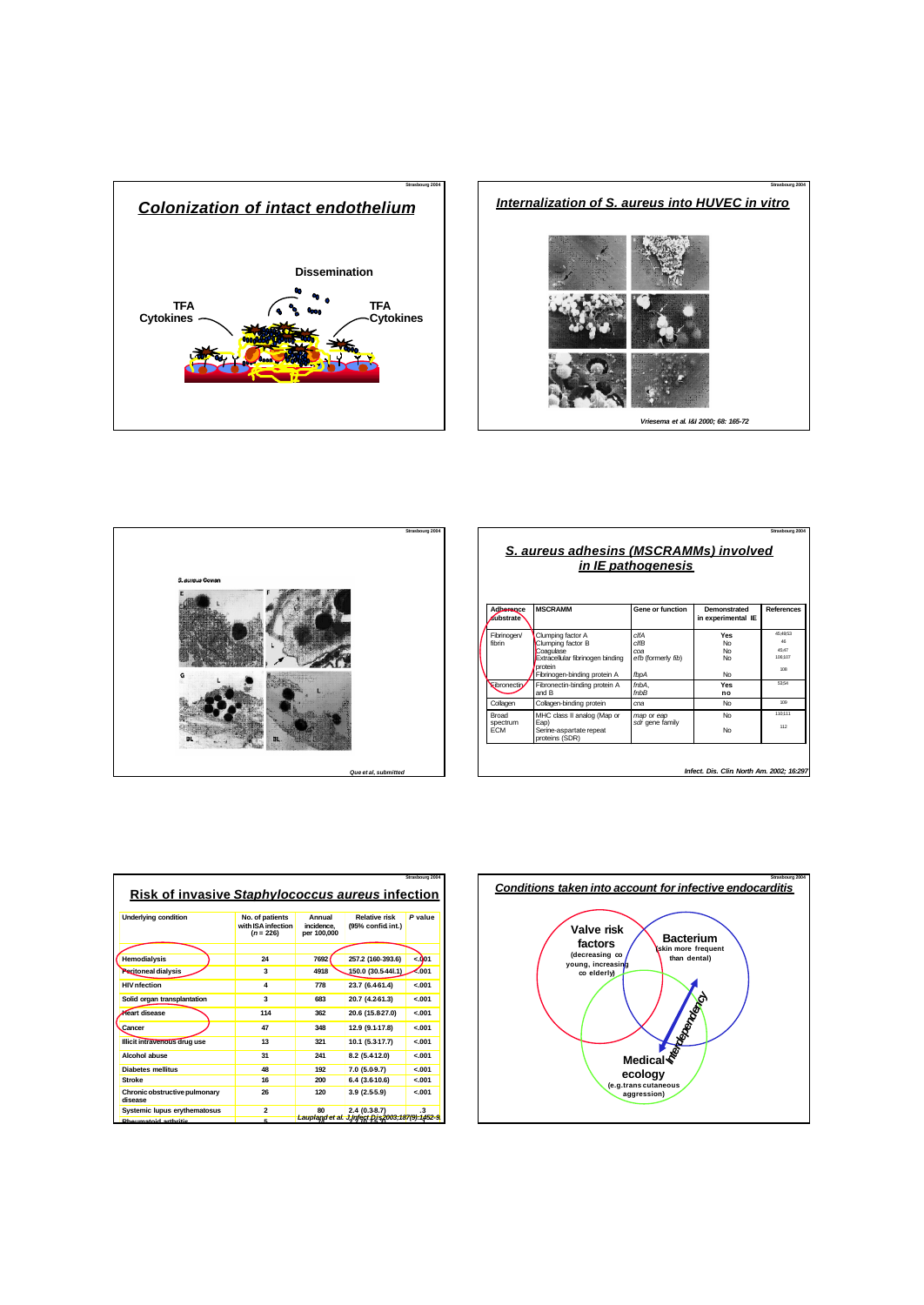





| Strasbourg 2004<br><b>S. aureus adhesins (MSCRAMMs) involved</b><br>in IE pathogenesis |                                                                                                                                    |                                                                   |                                    |                                                       |  |  |
|----------------------------------------------------------------------------------------|------------------------------------------------------------------------------------------------------------------------------------|-------------------------------------------------------------------|------------------------------------|-------------------------------------------------------|--|--|
| Adherence<br><b>Kubstrate</b>                                                          | <b>MSCRAMM</b>                                                                                                                     | <b>Gene or function</b>                                           | Demonstrated<br>in experimental IE | <b>References</b>                                     |  |  |
| Fibrinogen/<br>fibrin                                                                  | Clumping factor A<br>Clumping factor B<br>Coagulase<br>Extracellular fibrinogen binding<br>protein<br>Fibrinogen-binding protein A | $c$ IfA<br>$c$ <i>ff</i> $B$<br>coa<br>efb (formerly fib)<br>fbpA | Yes<br><b>No</b><br>No<br>No<br>No | 45:49:53<br>4 <sub>R</sub><br>45:47<br>106:107<br>108 |  |  |
| <b>Kibronectin</b>                                                                     | Fibronectin-binding protein A<br>and B                                                                                             | fnhA.<br>$f$ n $h$ $B$                                            | Yes<br>no                          | 63-54                                                 |  |  |
| Collagen                                                                               | Collagen-binding protein                                                                                                           | cna                                                               | No                                 | 109                                                   |  |  |
| <b>Broad</b><br>spectrum<br><b>FCM</b>                                                 | MHC class II analog (Map or<br>Eap)<br>Serine-aspartate repeat<br>proteins (SDR)                                                   | map or eap<br>sdr gene family                                     | No<br>No                           | 110-111<br>112                                        |  |  |

|                                                         |                                                      |                                     |                                                | Strasbourg 2004 |
|---------------------------------------------------------|------------------------------------------------------|-------------------------------------|------------------------------------------------|-----------------|
| <b>Risk of invasive Staphylococcus aureus infection</b> |                                                      |                                     |                                                |                 |
|                                                         |                                                      |                                     |                                                |                 |
| <b>Underlying condition</b>                             | No. of patients<br>with ISA infection<br>$(n = 226)$ | Annual<br>incidence.<br>per 100,000 | Relative risk<br>(95% confid int.)             | P value         |
|                                                         |                                                      |                                     |                                                |                 |
| Hemodialysis                                            | 24                                                   | 7692                                | 257.2 (160-393.6)                              | $-.001$         |
| <b>Peritoneal dialysis</b>                              | 3                                                    | 4918                                | 150.0 (30.5441.1)                              | €001            |
| <b>HIV</b> nfection                                     | $\overline{\mathbf{4}}$                              | 778                                 | 23.7 (6.4-61.4)                                | $-.001$         |
| Solid organ transplantation                             | 3                                                    | 683                                 | 20.7 (4.2-61.3)                                | $-.001$         |
| Heart disease                                           | 114                                                  | 362                                 | 20.6 (15.8-27.0)                               | $-.001$         |
| Cancer                                                  | 47                                                   | 348                                 | 12.9 (9.1-17.8)                                | $-.001$         |
| Illicit intravenous drug use                            | 13                                                   | 321                                 | 10.1 (5.3-17.7)                                | $-.001$         |
| Alcohol abuse                                           | 31                                                   | 241                                 | 8.2 (5.412.0)                                  | $-.001$         |
| <b>Diabetes mellitus</b>                                | AR                                                   | 192                                 | 7.0 (5.0-9.7)                                  | $-.001$         |
| <b>Stroke</b>                                           | 16                                                   | 200                                 | 6.4(3.610.6)                                   | $-.001$         |
| Chronic obstructive pulmonary<br>disease                | 26                                                   | 120                                 | 3.9(2.55.9)                                    | $-.001$         |
| <b>Systemic lupus ervthematosus</b>                     | $\overline{a}$                                       | 80                                  | 2.4(0.38.7)                                    | $\cdot$ 3       |
| Dharmataid agustaig                                     |                                                      |                                     | Laupland et al. J.Infect.Dis2003;187(9):1452-9 |                 |